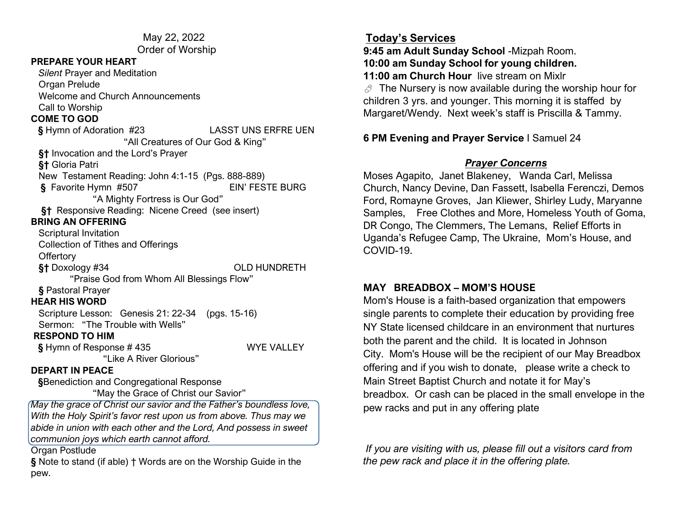May 22, 2022 Order of Worship

#### **PREPARE YOUR HEART**

 *Silent* Prayer and Meditation Organ Prelude Welcome and Church Announcements Call to Worship

## **COME TO GOD**

**§** Hymn of Adoration #23 LASST UNS ERFRE UEN "All Creatures of Our God & King" **§†** Invocation and the Lord's Prayer **§†** Gloria Patri New Testament Reading: John 4:1-15 (Pgs. 888-889)  **§** Favorite Hymn #507 EIN' FESTE BURG "A Mighty Fortress is Our God" **§†** Responsive Reading: Nicene Creed (see insert) **BRING AN OFFERING** Scriptural Invitation Collection of Tithes and Offerings **Offertory §†** Doxology #34 OLD HUNDRETH "Praise God from Whom All Blessings Flow" **§** Pastoral Prayer **HEAR HIS WORD** Scripture Lesson: Genesis 21: 22-34 (pgs. 15-16) Sermon: "The Trouble with Wells" **RESPOND TO HIM §** Hymn of Response # 435 WYE VALLEY "Like A River Glorious" **DEPART IN PEACE §**Benediction and Congregational Response "May the Grace of Christ our Savior" *May the grace of Christ our savior and the Father's boundless love, With the Holy Spirit's favor rest upon us from above. Thus may we abide in union with each other and the Lord, And possess in sweet* 

Organ Postlude

**§** Note to stand (if able) † Words are on the Worship Guide in the pew.

*communion joys which earth cannot afford.*

### **Today's Services**

**9:45 am Adult Sunday School** -Mizpah Room. **10:00 am Sunday School for young children. 11:00 am Church Hour** live stream on Mixlr

 $\mathcal{O}$  The Nursery is now available during the worship hour for children 3 yrs. and younger. This morning it is staffed by Margaret/Wendy. Next week's staff is Priscilla & Tammy.

### **6 PM Evening and Prayer Service** I Samuel 24

### *Prayer Concerns*

Moses Agapito, Janet Blakeney, Wanda Carl, Melissa Church, Nancy Devine, Dan Fassett, Isabella Ferenczi, Demos Ford, Romayne Groves, Jan Kliewer, Shirley Ludy, Maryanne Samples, Free Clothes and More, Homeless Youth of Goma, DR Congo, The Clemmers, The Lemans, Relief Efforts in Uganda's Refugee Camp, The Ukraine, Mom's House, and COVID-19.

## **MAY BREADBOX – MOM'S HOUSE**

Mom's House is a faith-based organization that empowers single parents to complete their education by providing free NY State licensed childcare in an environment that nurtures both the parent and the child. It is located in Johnson City. Mom's House will be the recipient of our May Breadbox offering and if you wish to donate, please write a check to Main Street Baptist Church and notate it for May's breadbox. Or cash can be placed in the small envelope in the pew racks and put in any offering plate

*If you are visiting with us, please fill out a visitors card from the pew rack and place it in the offering plate.*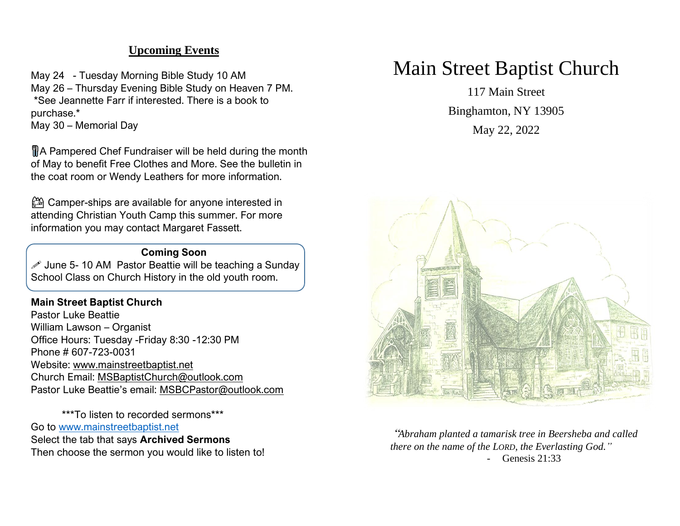## **Upcoming Events**

May 24 - Tuesday Morning Bible Study 10 AM May 26 – Thursday Evening Bible Study on Heaven 7 PM. \*See Jeannette Farr if interested. There is a book to purchase.\* May 30 – Memorial Day

 A Pampered Chef Fundraiser will be held during the month of May to benefit Free Clothes and More. See the bulletin in the coat room or Wendy Leathers for more information.

⛺ Camper-ships are available for anyone interested in attending Christian Youth Camp this summer. For more information you may contact Margaret Fassett.

#### **Coming Soon**

 $\mathscr S$  June 5-10 AM Pastor Beattie will be teaching a Sunday School Class on Church History in the old youth room.

#### **Main Street Baptist Church**

Pastor Luke Beattie William Lawson – Organist Office Hours: Tuesday -Friday 8:30 -12:30 PM Phone # 607-723-0031 Website: [www.mainstreetbaptist.net](http://www.mainstreetbaptist.net/) Church Email: [MSBaptistChurch@outlook.com](mailto:MSBaptistChurch@outlook.com) Pastor Luke Beattie's email: [MSBCPastor@outlook.com](mailto:MSBCPastor@outlook.com)

\*\*\*To listen to recorded sermons\*\*\* Go to [www.mainstreetbaptist.net](http://www.mainstreetbaptist.net/) Select the tab that says **Archived Sermons** Then choose the sermon you would like to listen to!

# Main Street Baptist Church

117 Main Street Binghamton, NY 13905

May 22, 2022



"*Abraham planted a tamarisk tree in Beersheba and called there on the name of the LORD, the Everlasting God."* - Genesis 21:33